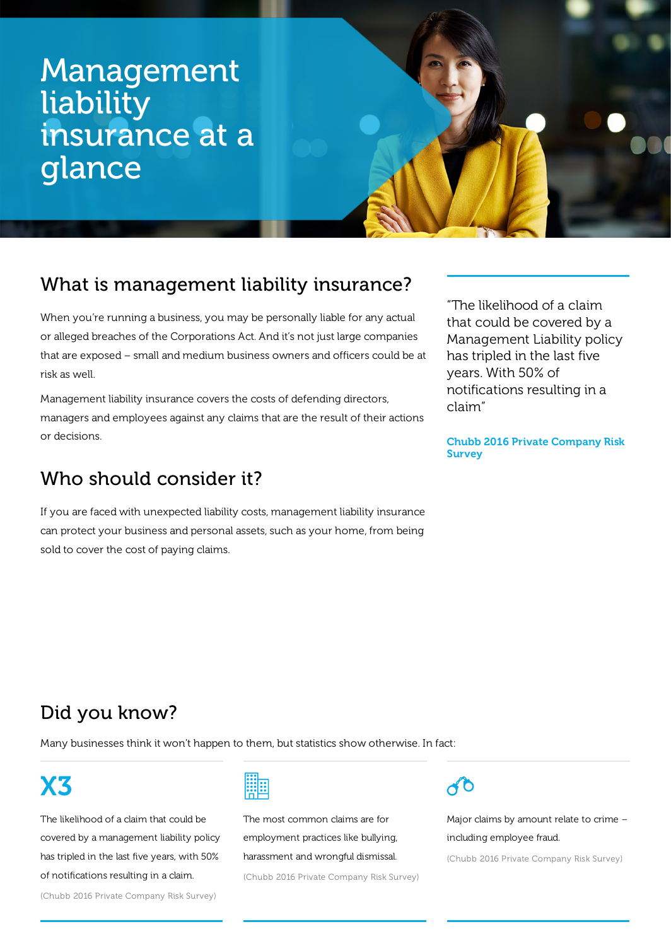# Management liability insurance at a glance

## What is management liability insurance?

When you're running a business, you may be personally liable for any actual or alleged breaches of the Corporations Act. And it's not just large companies that are exposed – small and medium business owners and officers could be at risk as well.

Management liability insurance covers the costs of defending directors, managers and employees against any claims that are the result of their actions or decisions.

## Who should consider it?

If you are faced with unexpected liability costs, management liability insurance can protect your business and personal assets, such as your home, from being sold to cover the cost of paying claims.

"The likelihood of a claim that could be covered by a Management Liability policy has tripled in the last five years. With 50% of notifications resulting in a claim"

Chubb 2016 Private Company Risk **Survey** 

## Did you know?

Many businesses think it won't happen to them, but statistics show otherwise. In fact:

# X3

The likelihood of a claim that could be covered by a management liability policy has tripled in the last five years, with 50% of notifications resulting in a claim.



The most common claims are for employment practices like bullying, harassment and wrongful dismissal.

(Chubb 2016 Private Company Risk Survey)

# $\overline{ab}$

Major claims by amount relate to crime – including employee fraud. (Chubb 2016 Private Company Risk Survey)

(Chubb 2016 Private Company Risk Survey)